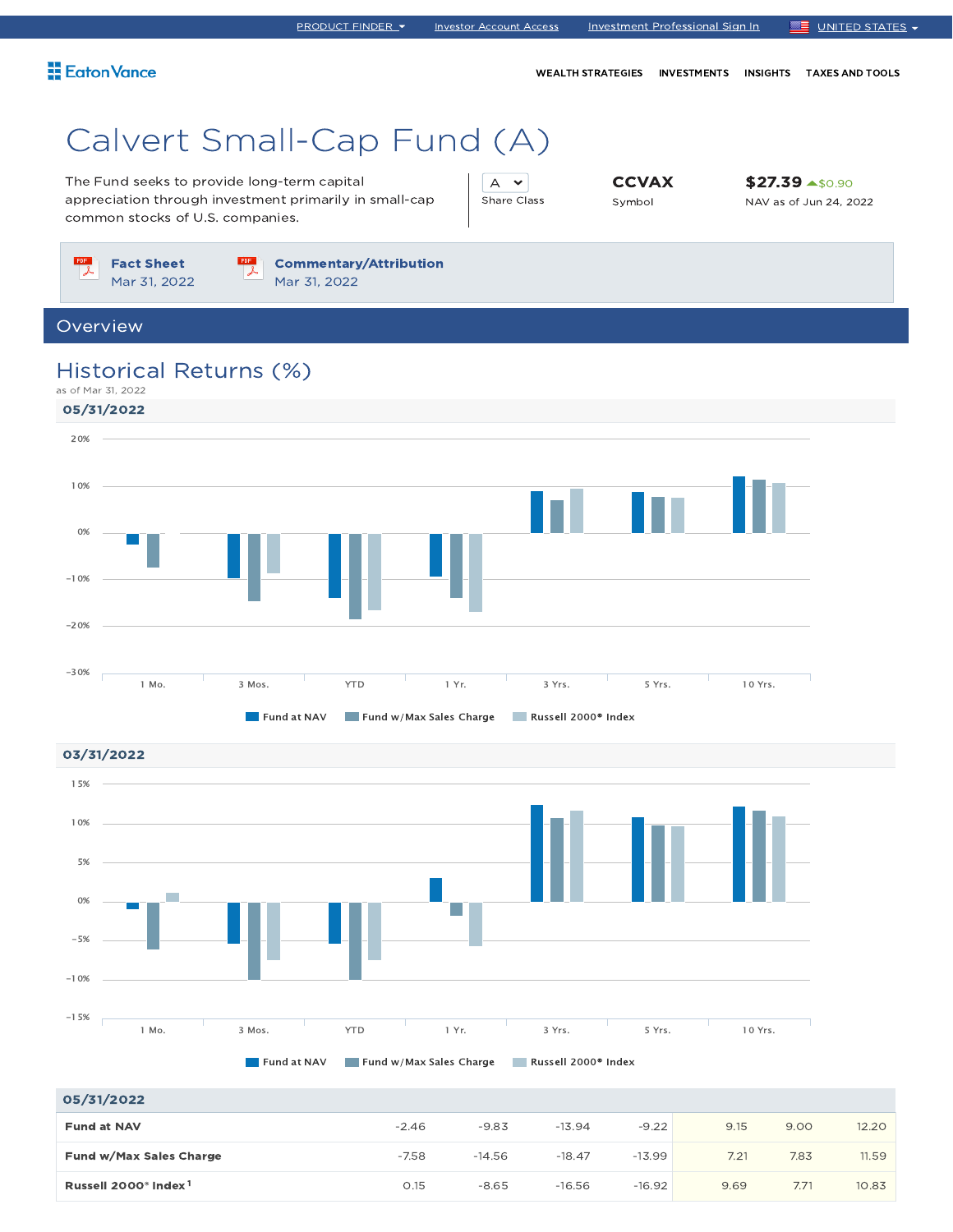WEALTH STRATEGIES INVESTMENTS INSIGHTS TAXES AND TOOLS

# Calvert Small-Cap Fund (A)

The Fund seeks to provide long-term capital appreciation through investment primarily in small-cap common stocks of U.S. companies.

A v Share Class **CCVAX** Symbol

\$27.39 \$0.90 NAV as of Jun 24, 2022

PDF Fact Sheet Mar 31, 2022



### Overview

### Historical Returns (%)

as of Mar 31, 2022





| 05/31/2022                                   |         |          |          |          |      |      |       |
|----------------------------------------------|---------|----------|----------|----------|------|------|-------|
| <b>Fund at NAV</b>                           | $-2.46$ | $-9.83$  | $-13.94$ | $-9.22$  | 9.15 | 9.00 | 12.20 |
| Fund w/Max Sales Charge                      | $-7.58$ | $-14.56$ | $-18.47$ | $-13.99$ | 7.21 | 7.83 | 11.59 |
| Russell 2000 <sup>®</sup> Index <sup>1</sup> | 0.15    | $-8.65$  | $-16.56$ | $-16.92$ | 9.69 | 7.71 | 10.83 |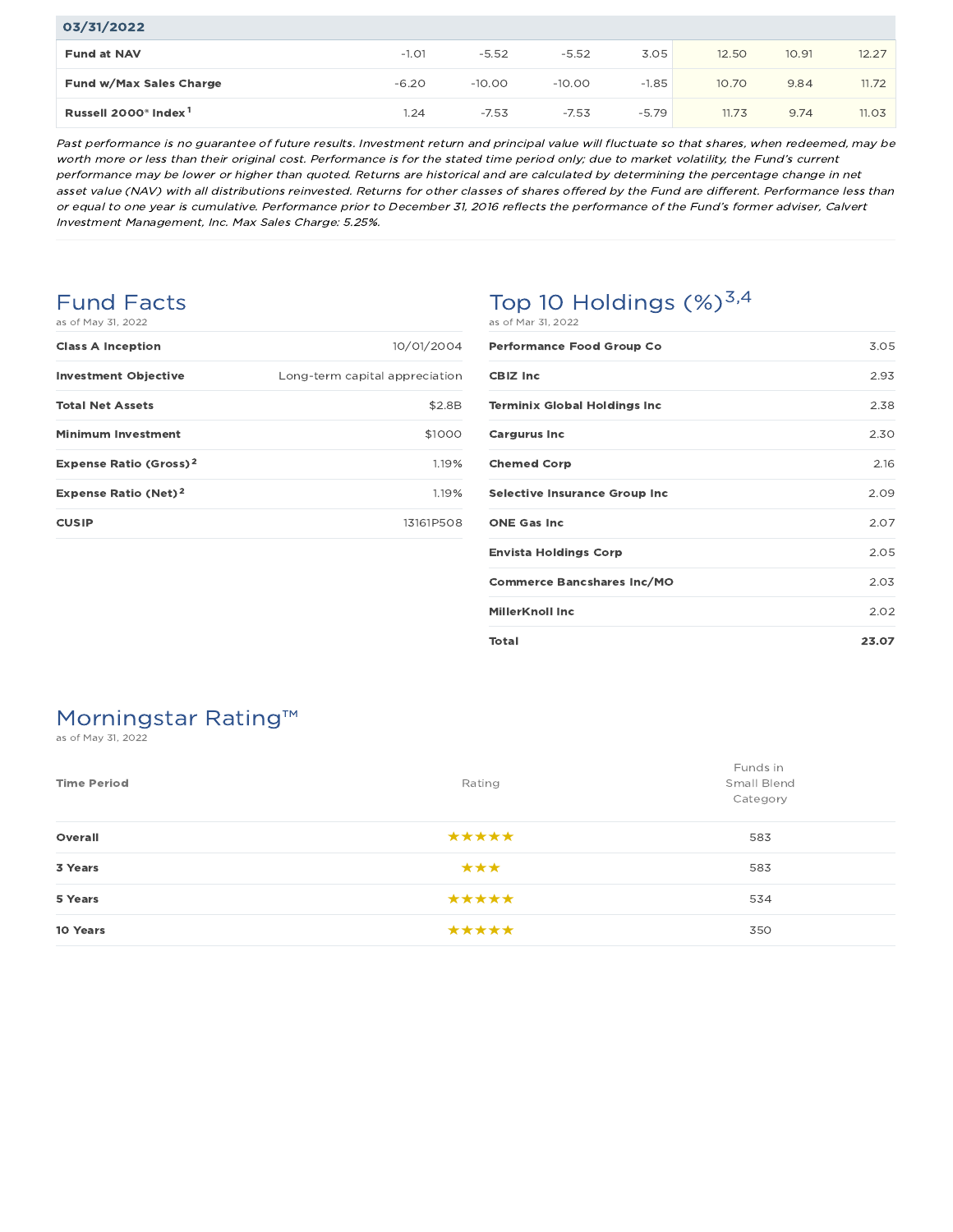| 03/31/2022                                   |         |          |          |         |       |       |       |
|----------------------------------------------|---------|----------|----------|---------|-------|-------|-------|
| <b>Fund at NAV</b>                           | $-1.01$ | $-5.52$  | $-5.52$  | 3.05    | 12.50 | 10.91 | 12.27 |
| <b>Fund w/Max Sales Charge</b>               | $-6.20$ | $-10.00$ | $-10.00$ | $-1.85$ | 10.70 | 9.84  | 11.72 |
| Russell 2000 <sup>®</sup> Index <sup>1</sup> | 1.24    | $-7.53$  | $-7.53$  | $-5.79$ | 11.73 | 9.74  | 11.03 |

Past performance is no guarantee of future results. Investment return and principal value will fluctuate so that shares, when redeemed, may be worth more or less than their original cost. Performance is for the stated time period only; due to market volatility, the Fund's current performance may be lower or higher than quoted. Returns are historical and are calculated by determining the percentage change in net asset value (NAV) with all distributions reinvested. Returns for other classes of shares offered by the Fund are different. Performance less than or equal to one year is cumulative. Performance prior to December 31, 2016 reflects the performance of the Fund's former adviser, Calvert Investment Management, Inc. Max Sales Charge: 5.25%.

### Fund Facts as of May 31, 2022

| <b>Class A Inception</b>               | 10/01/2004                     |
|----------------------------------------|--------------------------------|
| <b>Investment Objective</b>            | Long-term capital appreciation |
| <b>Total Net Assets</b>                | \$2.8B                         |
| <b>Minimum Investment</b>              | \$1000                         |
| Expense Ratio (Gross) <sup>2</sup>     | 1.19%                          |
| <b>Expense Ratio (Net)<sup>2</sup></b> | 1.19%                          |
| <b>CUSIP</b>                           | 13161P508                      |
|                                        |                                |

### Top 10 Holdings  $(\%)^{3,4}$ as of Mar 31, 2022

| <b>Performance Food Group Co</b>     | 3.05  |
|--------------------------------------|-------|
| <b>CBIZ Inc</b>                      | 2.93  |
| <b>Terminix Global Holdings Inc</b>  | 2.38  |
| <b>Cargurus Inc</b>                  | 2.30  |
| <b>Chemed Corp</b>                   | 2.16  |
| <b>Selective Insurance Group Inc</b> | 2.09  |
| <b>ONE Gas Inc</b>                   | 2.07  |
| <b>Envista Holdings Corp</b>         | 2.05  |
| <b>Commerce Bancshares Inc/MO</b>    | 2.03  |
| <b>MillerKnoll Inc</b>               | 2.02  |
| Total                                | 23.07 |

## Morningstar Rating™

as of May 31, 2022

| <b>Time Period</b> | Rating | Funds in<br>Small Blend<br>Category |
|--------------------|--------|-------------------------------------|
| Overall            | *****  | 583                                 |
| 3 Years            | ***    | 583                                 |
| 5 Years            | *****  | 534                                 |
| 10 Years           | *****  | 350                                 |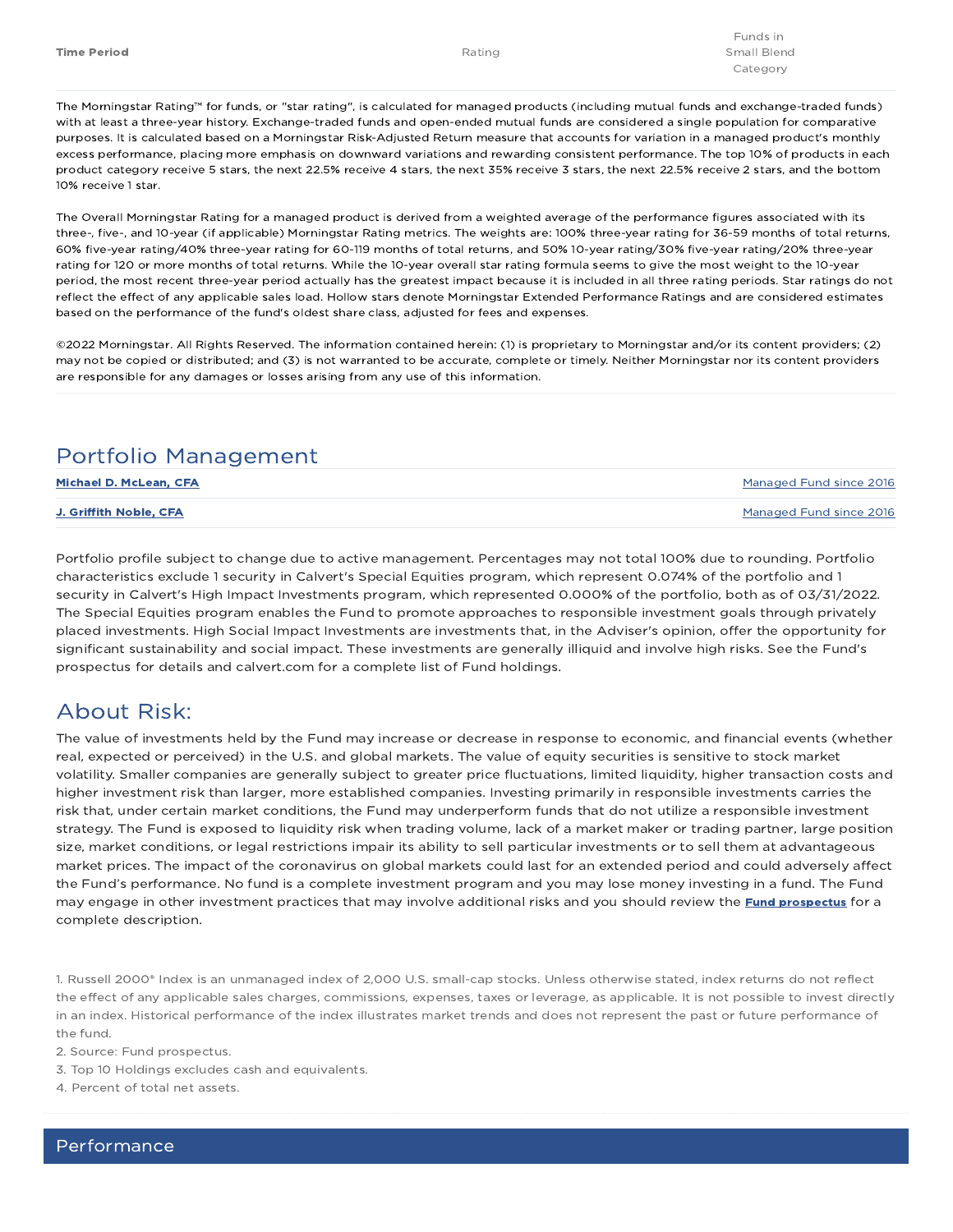The Morningstar Rating™ for funds, or "star rating", is calculated for managed products (including mutual funds and exchange-traded funds) with at least a three-year history. Exchange-traded funds and open-ended mutual funds are considered a single population for comparative purposes. It is calculated based on a Morningstar Risk-Adjusted Return measure that accounts for variation in a managed product's monthly excess performance, placing more emphasis on downward variations and rewarding consistent performance. The top 10% of products in each product category receive 5 stars, the next 22.5% receive 4 stars, the next 35% receive 3 stars, the next 22.5% receive 2 stars, and the bottom 10% receive 1 star.

The Overall Morningstar Rating for a managed product is derived from a weighted average of the performance figures associated with its three-, five-, and 10-year (if applicable) Morningstar Rating metrics. The weights are: 100% three-year rating for 36-59 months of total returns, 60% five-year rating/40% three-year rating for 60-119 months of total returns, and 50% 10-year rating/30% five-year rating/20% three-year rating for 120 or more months of total returns. While the 10-year overall star rating formula seems to give the most weight to the 10-year period, the most recent three-year period actually has the greatest impact because it is included in all three rating periods. Star ratings do not reflect the effect of any applicable sales load. Hollow stars denote Morningstar Extended Performance Ratings and are considered estimates based on the performance of the fund's oldest share class, adjusted for fees and expenses.

©2022 Morningstar. All Rights Reserved. The information contained herein: (1) is proprietary to Morningstar and/or its content providers; (2) may not be copied or distributed; and (3) is not warranted to be accurate, complete or timely. Neither Morningstar nor its content providers are responsible for any damages or losses arising from any use of this information.

### Portfolio Management

| Michael D. McLean, CFA | Managed Fund since 2016 |
|------------------------|-------------------------|
| J. Griffith Noble. CFA | Managed Fund since 2016 |

Portfolio profile subject to change due to active management. Percentages may not total 100% due to rounding. Portfolio characteristics exclude 1 security in Calvert's Special Equities program, which represent 0.074% of the portfolio and 1 security in Calvert's High Impact Investments program, which represented 0.000% of the portfolio, both as of 03/31/2022. The Special Equities program enables the Fund to promote approaches to responsible investment goals through privately placed investments. High Social Impact Investments are investments that, in the Adviser's opinion, offer the opportunity for significant sustainability and social impact. These investments are generally illiquid and involve high risks. See the Fund's prospectus for details and calvert.com for a complete list of Fund holdings.

### About Risk:

The value of investments held by the Fund may increase or decrease in response to economic, and financial events (whether real, expected or perceived) in the U.S. and global markets. The value of equity securities is sensitive to stock market volatility. Smaller companies are generally subject to greater price fluctuations, limited liquidity, higher transaction costs and higher investment risk than larger, more established companies. Investing primarily in responsible investments carries the risk that, under certain market conditions, the Fund may underperform funds that do not utilize a responsible investment strategy. The Fund is exposed to liquidity risk when trading volume, lack of a market maker or trading partner, large position size, market conditions, or legal restrictions impair its ability to sell particular investments or to sell them at advantageous market prices. The impact of the coronavirus on global markets could last for an extended period and could adversely affect the Fund's performance. No fund is a complete investment program and you may lose money investing in a fund. The Fund may engage in other investment practices that may involve additional risks and you should review the **Fund prospectus** for a complete description.

1. Russell 2000® Index is an unmanaged index of 2,000 U.S. small-cap stocks. Unless otherwise stated, index returns do not reflect the effect of any applicable sales charges, commissions, expenses, taxes or leverage, as applicable. It is not possible to invest directly in an index. Historical performance of the index illustrates market trends and does not represent the past or future performance of the fund.

2. Source: Fund prospectus.

3. Top 10 Holdings excludes cash and equivalents.

4. Percent of total net assets.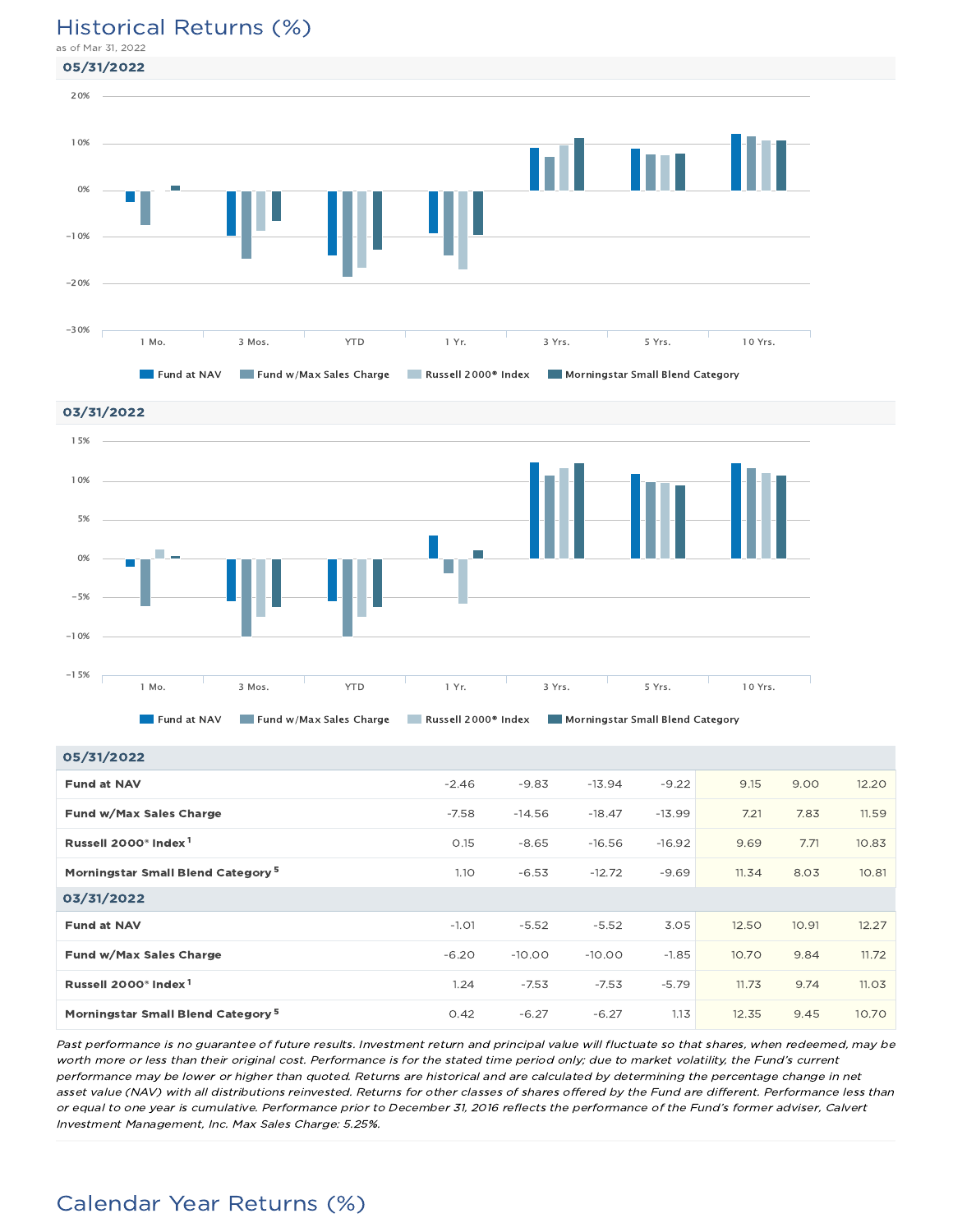### Historical Returns (%)

as of Mar 31, 2022





| 05/31/2022                                    |         |          |          |          |       |      |       |
|-----------------------------------------------|---------|----------|----------|----------|-------|------|-------|
| <b>Fund at NAV</b>                            | $-2.46$ | $-9.83$  | $-13.94$ | $-9.22$  | 9.15  | 9.00 | 12.20 |
| Fund w/Max Sales Charge                       | $-7.58$ | $-14.56$ | $-18.47$ | $-13.99$ | 7.21  | 7.83 | 11.59 |
| Russell 2000 <sup>®</sup> Index <sup>1</sup>  | 0.15    | $-8.65$  | $-16.56$ | $-16.92$ | 9.69  | 7.71 | 10.83 |
| Morningstar Small Blend Category <sup>5</sup> | 1.10    | $-6.53$  | $-12.72$ | $-9.69$  | 11.34 | 8.03 | 10.81 |
| 03/31/2022                                    |         |          |          |          |       |      |       |
|                                               |         |          |          |          |       |      |       |

**Fund at NAV** -1.01 -5.52 -5.52 -5.52 -5.52 12.50 10.91 -12.27 **Fund w/Max Sales Charge 20 12 10.00 -6.20** -10.00 -10.00 -1.85 10.70 - 9.84 11.72 Russell 2000® Index 1.24 -7.53 -7.53 -5.79 11.73 9.74 11.03 1 Morningstar Small Blend Category 0.42 -6.27 -6.27 1.13 12.35 9.45 10.70 5 Past performance is no guarantee of future results. Investment return and principal value will fluctuate so that shares, when redeemed, may be

worth more or less than their original cost. Performance is for the stated time period only; due to market volatility, the Fund's current performance may be lower or higher than quoted. Returns are historical and are calculated by determining the percentage change in net asset value (NAV) with all distributions reinvested. Returns for other classes of shares offered by the Fund are different. Performance less than or equal to one year is cumulative. Performance prior to December 31, 2016 reflects the performance of the Fund's former adviser, Calvert Investment Management, Inc. Max Sales Charge: 5.25%.

## Calendar Year Returns (%)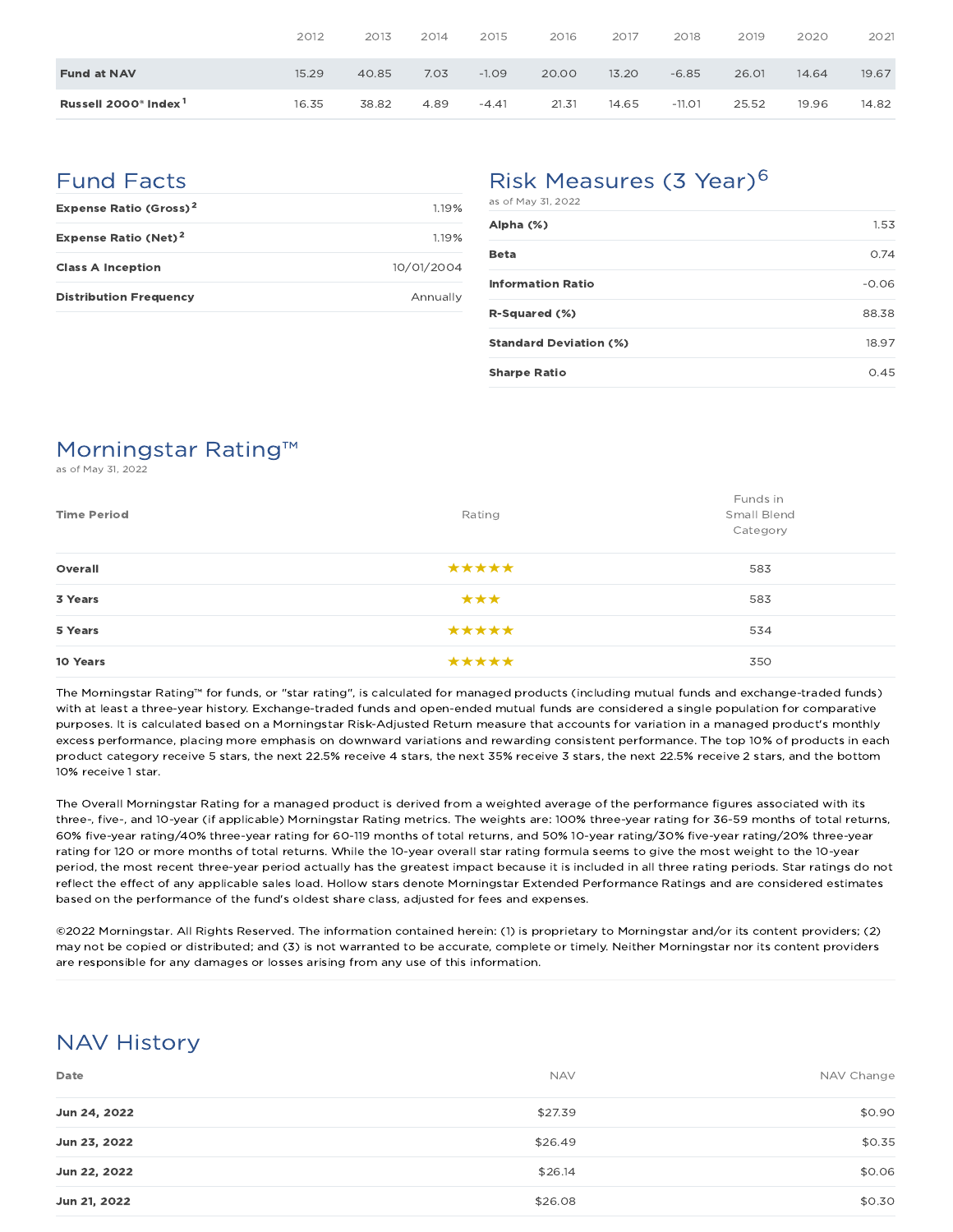|                                              | 2012  | 2013  | 2014 | 2015    | 2016  | 2017  | 2018     | 2019  | 2020  | 2021  |
|----------------------------------------------|-------|-------|------|---------|-------|-------|----------|-------|-------|-------|
| <b>Fund at NAV</b>                           | 15.29 | 40.85 | 7.03 | $-1.09$ | 20.00 | 13.20 | $-6.85$  | 26.01 | 14.64 | 19.67 |
| Russell 2000 <sup>®</sup> Index <sup>1</sup> | 16.35 | 38.82 | 4.89 | $-4.41$ | 21.31 | 14.65 | $-11.01$ | 25.52 | 19.96 | 14.82 |

### Fund Facts

| <b>Expense Ratio (Gross)<sup>2</sup></b> | 119%       |
|------------------------------------------|------------|
| Expense Ratio (Net) <sup>2</sup>         | 1.19%      |
| <b>Class A Inception</b>                 | 10/01/2004 |
| <b>Distribution Frequency</b>            | Annually   |

## Risk Measures (3 Year)<sup>6</sup>

| as of May 31, 2022            |         |
|-------------------------------|---------|
| Alpha (%)                     | 1.53    |
| <b>Beta</b>                   | 0.74    |
| <b>Information Ratio</b>      | $-0.06$ |
| R-Squared (%)                 | 88.38   |
| <b>Standard Deviation (%)</b> | 18.97   |
| <b>Sharpe Ratio</b>           | 0.45    |

## Morningstar Rating™

as of May 31, 2022

| <b>Time Period</b> | Rating | Funds in<br>Small Blend<br>Category |
|--------------------|--------|-------------------------------------|
| Overall            | *****  | 583                                 |
| 3 Years            | ***    | 583                                 |
| 5 Years            | *****  | 534                                 |
| 10 Years           | *****  | 350                                 |

The Morningstar Rating™ for funds, or "star rating", is calculated for managed products (including mutual funds and exchange-traded funds) with at least a three-year history. Exchange-traded funds and open-ended mutual funds are considered a single population for comparative purposes. It is calculated based on a Morningstar Risk-Adjusted Return measure that accounts for variation in a managed product's monthly excess performance, placing more emphasis on downward variations and rewarding consistent performance. The top 10% of products in each product category receive 5 stars, the next 22.5% receive 4 stars, the next 35% receive 3 stars, the next 22.5% receive 2 stars, and the bottom 10% receive 1 star.

The Overall Morningstar Rating for a managed product is derived from a weighted average of the performance figures associated with its three-, five-, and 10-year (if applicable) Morningstar Rating metrics. The weights are: 100% three-year rating for 36-59 months of total returns, 60% five-year rating/40% three-year rating for 60-119 months of total returns, and 50% 10-year rating/30% five-year rating/20% three-year rating for 120 or more months of total returns. While the 10-year overall star rating formula seems to give the most weight to the 10-year period, the most recent three-year period actually has the greatest impact because it is included in all three rating periods. Star ratings do not reflect the effect of any applicable sales load. Hollow stars denote Morningstar Extended Performance Ratings and are considered estimates based on the performance of the fund's oldest share class, adjusted for fees and expenses.

©2022 Morningstar. All Rights Reserved. The information contained herein: (1) is proprietary to Morningstar and/or its content providers; (2) may not be copied or distributed; and (3) is not warranted to be accurate, complete or timely. Neither Morningstar nor its content providers are responsible for any damages or losses arising from any use of this information.

## NAV History

| Date         | <b>NAV</b> | NAV Change |
|--------------|------------|------------|
| Jun 24, 2022 | \$27.39    | \$0.90     |
| Jun 23, 2022 | \$26.49    | \$0.35     |
| Jun 22, 2022 | \$26.14    | \$0.06     |
| Jun 21, 2022 | \$26.08    | \$0.30     |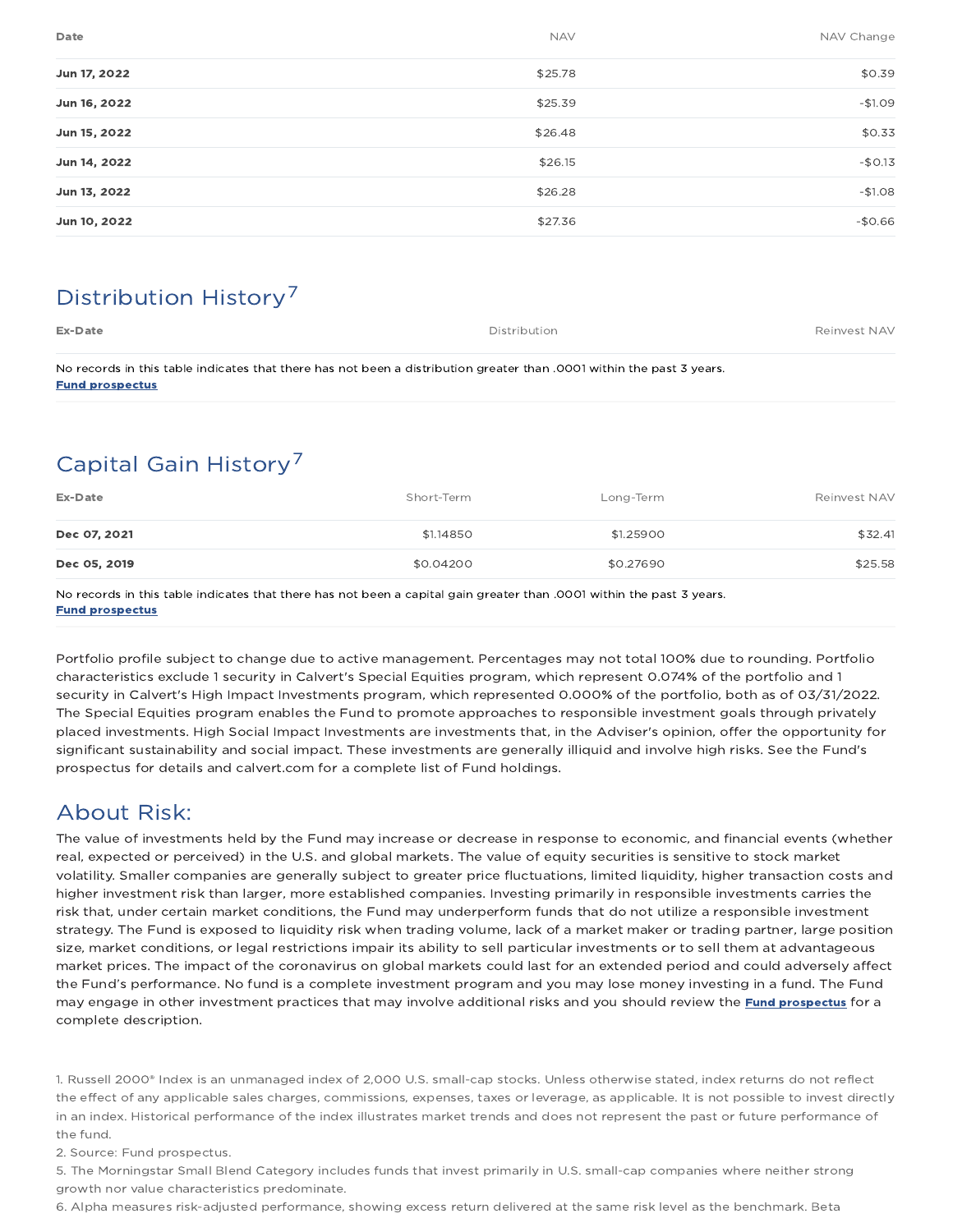| Date         | <b>NAV</b> | NAV Change |
|--------------|------------|------------|
| Jun 17, 2022 | \$25.78    | \$0.39     |
| Jun 16, 2022 | \$25.39    | $-$1.09$   |
| Jun 15, 2022 | \$26.48    | \$0.33     |
| Jun 14, 2022 | \$26.15    | $-$0.13$   |
| Jun 13, 2022 | \$26.28    | $-$1.08$   |
| Jun 10, 2022 | \$27.36    | $-$0.66$   |

## Distribution History 7

| Ex-Date | Distribution | Reinvest NAV |
|---------|--------------|--------------|
|         |              |              |

No records in this table indicates that there has not been a distribution greater than .0001 within the past 3 years. Fund prospectus

## Capital Gain History 7

| Ex-Date      | Short-Term | Long-Term | Reinvest NAV |
|--------------|------------|-----------|--------------|
| Dec 07, 2021 | \$1,14850  | \$1.25900 | \$32.41      |
| Dec 05, 2019 | \$0.04200  | \$0.27690 | \$25.58      |

No records in this table indicates that there has not been a capital gain greater than .0001 within the past 3 years. Fund prospectus

Portfolio profile subject to change due to active management. Percentages may not total 100% due to rounding. Portfolio characteristics exclude 1 security in Calvert's Special Equities program, which represent 0.074% of the portfolio and 1 security in Calvert's High Impact Investments program, which represented 0.000% of the portfolio, both as of 03/31/2022. The Special Equities program enables the Fund to promote approaches to responsible investment goals through privately placed investments. High Social Impact Investments are investments that, in the Adviser's opinion, offer the opportunity for significant sustainability and social impact. These investments are generally illiquid and involve high risks. See the Fund's prospectus for details and calvert.com for a complete list of Fund holdings.

## About Risk:

The value of investments held by the Fund may increase or decrease in response to economic, and financial events (whether real, expected or perceived) in the U.S. and global markets. The value of equity securities is sensitive to stock market volatility. Smaller companies are generally subject to greater price fluctuations, limited liquidity, higher transaction costs and higher investment risk than larger, more established companies. Investing primarily in responsible investments carries the risk that, under certain market conditions, the Fund may underperform funds that do not utilize a responsible investment strategy. The Fund is exposed to liquidity risk when trading volume, lack of a market maker or trading partner, large position size, market conditions, or legal restrictions impair its ability to sell particular investments or to sell them at advantageous market prices. The impact of the coronavirus on global markets could last for an extended period and could adversely affect the Fund's performance. No fund is a complete investment program and you may lose money investing in a fund. The Fund may engage in other investment practices that may involve additional risks and you should review the *Fund prospectus* for a complete description.

1. Russell 2000® Index is an unmanaged index of 2,000 U.S. small-cap stocks. Unless otherwise stated, index returns do not reflect the effect of any applicable sales charges, commissions, expenses, taxes or leverage, as applicable. It is not possible to invest directly in an index. Historical performance of the index illustrates market trends and does not represent the past or future performance of the fund.

2. Source: Fund prospectus.

5. The Morningstar Small Blend Category includes funds that invest primarily in U.S. small-cap companies where neither strong growth nor value characteristics predominate.

6. Alpha measures risk-adjusted performance, showing excess return delivered at the same risk level as the benchmark. Beta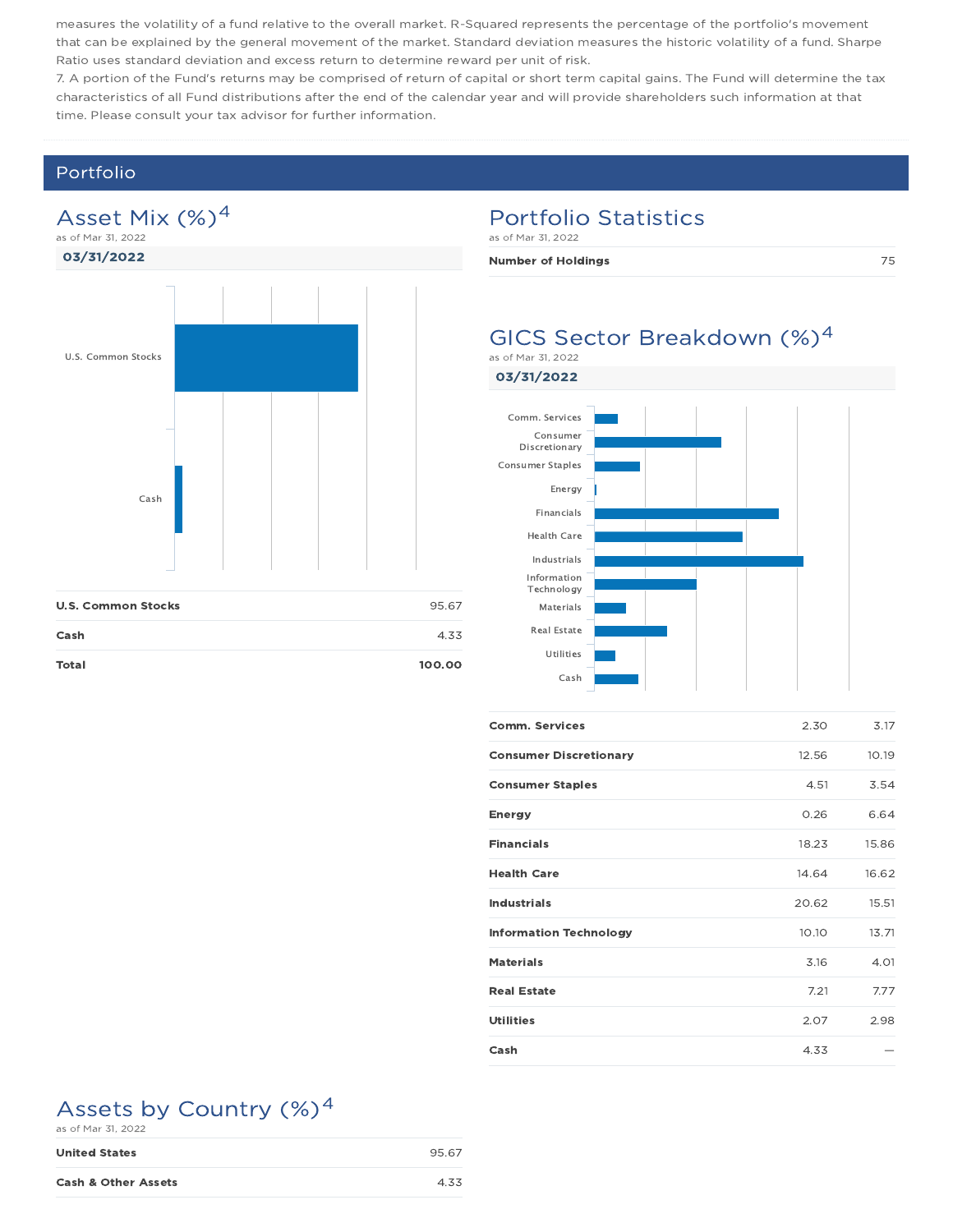measures the volatility of a fund relative to the overall market. R-Squared represents the percentage of the portfolio's movement that can be explained by the general movement of the market. Standard deviation measures the historic volatility of a fund. Sharpe Ratio uses standard deviation and excess return to determine reward per unit of risk.

7. A portion of the Fund's returns may be comprised of return of capital or short term capital gains. The Fund will determine the tax characteristics of all Fund distributions after the end of the calendar year and will provide shareholders such information at that time. Please consult your tax advisor for further information.

### Portfolio

### Asset Mix (%)<sup>4</sup> as of Mar 31, 2022



| <b>U.S. Common Stocks</b> | 95.67  |
|---------------------------|--------|
| Cash                      | 4.33   |
| <b>Total</b>              | 100.00 |

### Portfolio Statistics

as of Mar 31, 2022

Number of Holdings and the contract of  $75$ 

### GICS Sector Breakdown (%)<sup>4</sup> as of Mar 31, 2022

03/31/2022



| <b>Comm. Services</b>         | 2.30  | 3.17  |
|-------------------------------|-------|-------|
| <b>Consumer Discretionary</b> | 12.56 | 10.19 |
| <b>Consumer Staples</b>       | 4.51  | 3.54  |
| <b>Energy</b>                 | 0.26  | 6.64  |
| <b>Financials</b>             | 18.23 | 15.86 |
| <b>Health Care</b>            | 14.64 | 16.62 |
| <b>Industrials</b>            | 20.62 | 15.51 |
| <b>Information Technology</b> | 10.10 | 13.71 |
| <b>Materials</b>              | 3.16  | 4.01  |
| <b>Real Estate</b>            | 7.21  | 7.77  |
| <b>Utilities</b>              | 2.07  | 2.98  |
| Cash                          | 4.33  |       |

## Assets by Country (%)<sup>4</sup>

| as of Mar 31, 2022             |       |
|--------------------------------|-------|
| <b>United States</b>           | 95.67 |
| <b>Cash &amp; Other Assets</b> | 4.33  |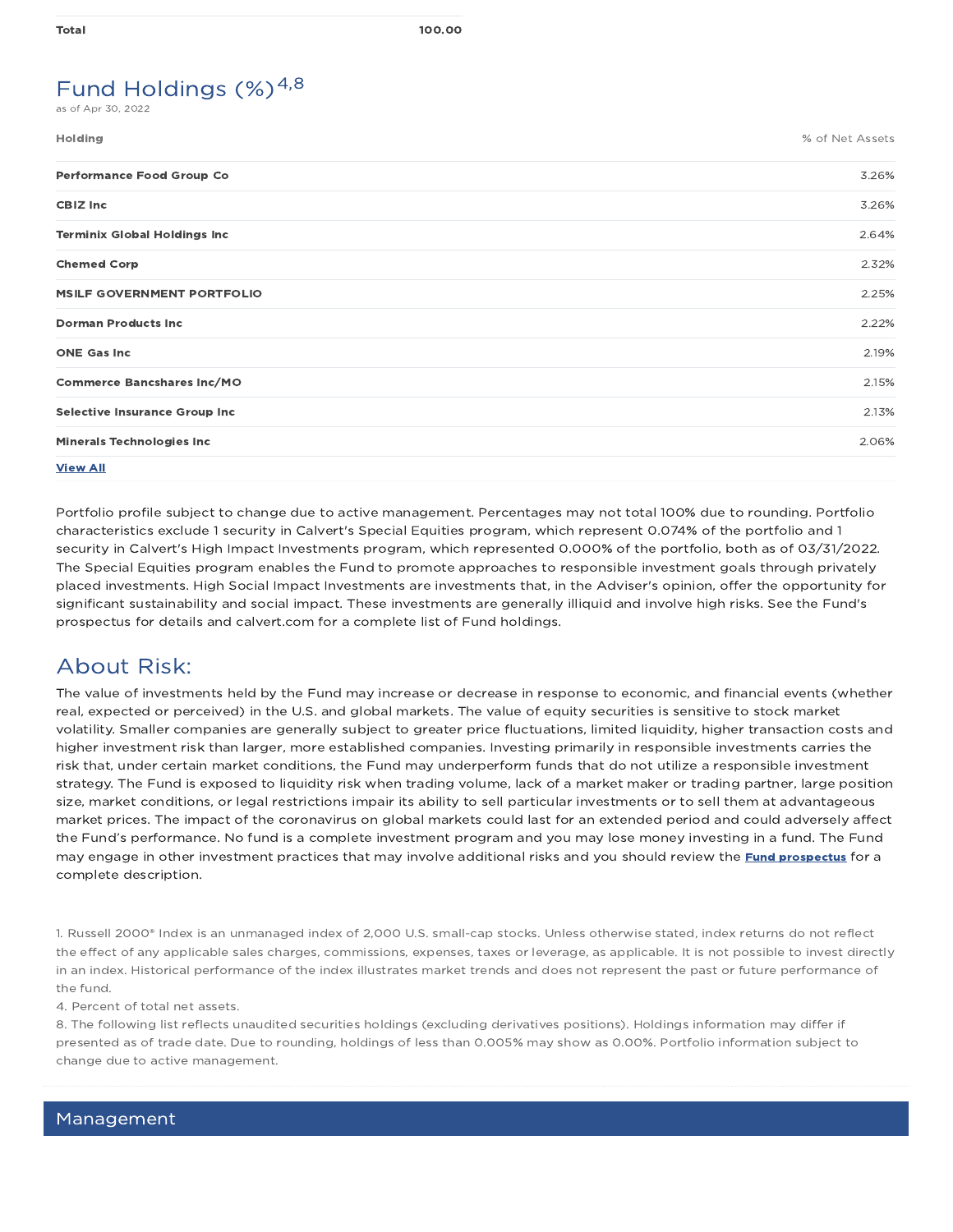## Fund Holdings  $(\%)^{4,8}$

as of Apr 30, 2022

| <b>Holding</b>                       | % of Net Assets |
|--------------------------------------|-----------------|
| <b>Performance Food Group Co</b>     | 3.26%           |
| <b>CBIZ Inc</b>                      | 3.26%           |
| <b>Terminix Global Holdings Inc</b>  | 2.64%           |
| <b>Chemed Corp</b>                   | 2.32%           |
| <b>MSILF GOVERNMENT PORTFOLIO</b>    | 2.25%           |
| <b>Dorman Products Inc</b>           | 2.22%           |
| <b>ONE Gas Inc</b>                   | 2.19%           |
| <b>Commerce Bancshares Inc/MO</b>    | 2.15%           |
| <b>Selective Insurance Group Inc</b> | 2.13%           |
| <b>Minerals Technologies Inc</b>     | 2.06%           |
| <b>View All</b>                      |                 |

Portfolio profile subject to change due to active management. Percentages may not total 100% due to rounding. Portfolio characteristics exclude 1 security in Calvert's Special Equities program, which represent 0.074% of the portfolio and 1 security in Calvert's High Impact Investments program, which represented 0.000% of the portfolio, both as of 03/31/2022. The Special Equities program enables the Fund to promote approaches to responsible investment goals through privately placed investments. High Social Impact Investments are investments that, in the Adviser's opinion, offer the opportunity for significant sustainability and social impact. These investments are generally illiquid and involve high risks. See the Fund's prospectus for details and calvert.com for a complete list of Fund holdings.

### About Risk:

The value of investments held by the Fund may increase or decrease in response to economic, and financial events (whether real, expected or perceived) in the U.S. and global markets. The value of equity securities is sensitive to stock market volatility. Smaller companies are generally subject to greater price fluctuations, limited liquidity, higher transaction costs and higher investment risk than larger, more established companies. Investing primarily in responsible investments carries the risk that, under certain market conditions, the Fund may underperform funds that do not utilize a responsible investment strategy. The Fund is exposed to liquidity risk when trading volume, lack of a market maker or trading partner, large position size, market conditions, or legal restrictions impair its ability to sell particular investments or to sell them at advantageous market prices. The impact of the coronavirus on global markets could last for an extended period and could adversely affect the Fund's performance. No fund is a complete investment program and you may lose money investing in a fund. The Fund may engage in other investment practices that may involve additional risks and you should review the *Fund prospectus* for a complete description.

1. Russell 2000® Index is an unmanaged index of 2,000 U.S. small-cap stocks. Unless otherwise stated, index returns do not reflect the effect of any applicable sales charges, commissions, expenses, taxes or leverage, as applicable. It is not possible to invest directly in an index. Historical performance of the index illustrates market trends and does not represent the past or future performance of the fund.

4. Percent of total net assets.

8. The following list reflects unaudited securities holdings (excluding derivatives positions). Holdings information may differ if presented as of trade date. Due to rounding, holdings of less than 0.005% may show as 0.00%. Portfolio information subject to change due to active management.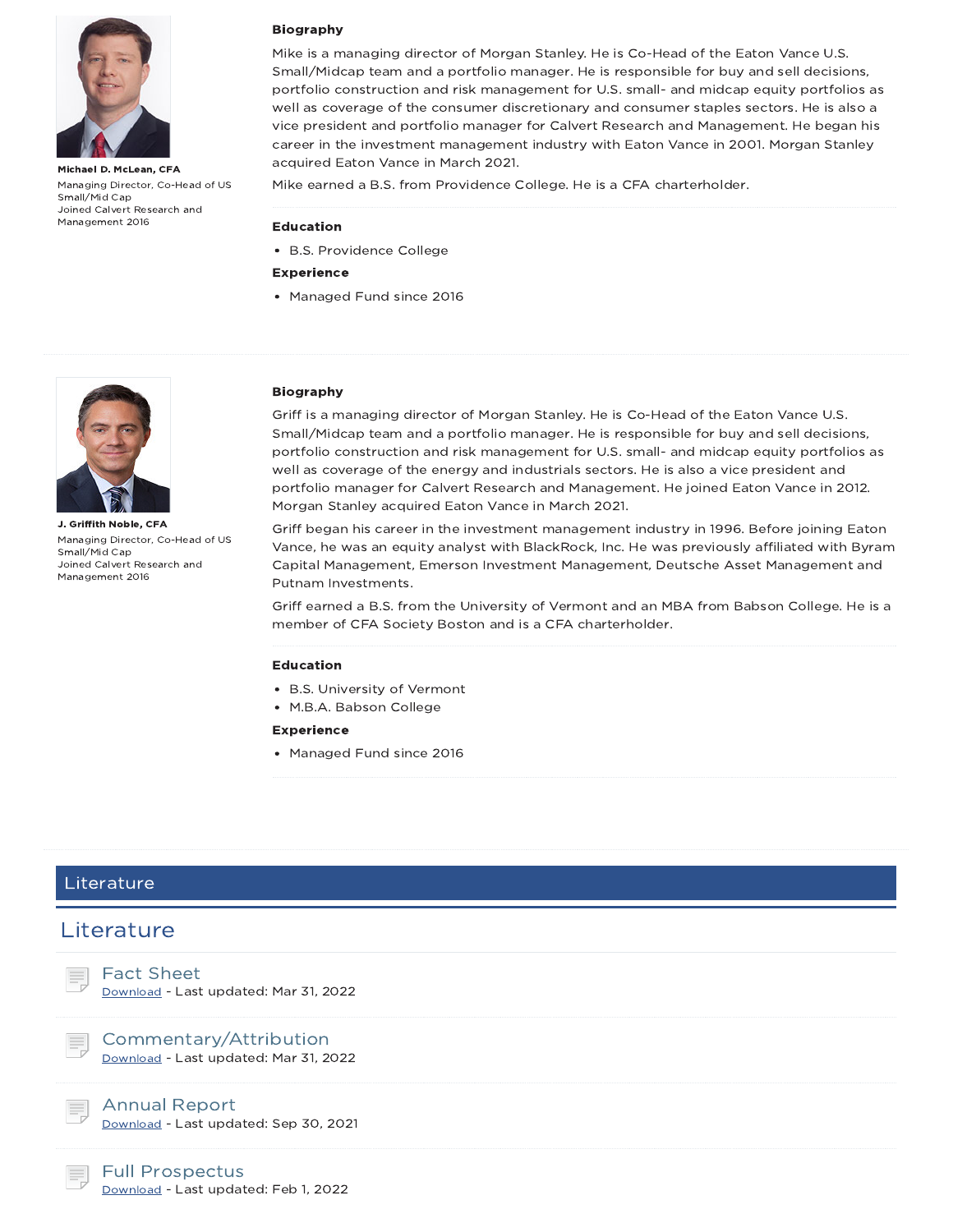

Michael D. McLean, CFA Managing Director, Co-Head of US Small/Mid Cap Joined Calvert Research and Management 2016

#### Biography

Mike is a managing director of Morgan Stanley. He is Co-Head of the Eaton Vance U.S. Small/Midcap team and a portfolio manager. He is responsible for buy and sell decisions, portfolio construction and risk management for U.S. small- and midcap equity portfolios as well as coverage of the consumer discretionary and consumer staples sectors. He is also a vice president and portfolio manager for Calvert Research and Management. He began his career in the investment management industry with Eaton Vance in 2001. Morgan Stanley acquired Eaton Vance in March 2021.

Mike earned a B.S. from Providence College. He is a CFA charterholder.

#### Education

B.S. Providence College

#### Experience

• Managed Fund since 2016



J. Griffith Noble, CFA Managing Director, Co-Head of US Small/Mid Cap Joined Calvert Research and Management 2016

#### Biography

Griff is a managing director of Morgan Stanley. He is Co-Head of the Eaton Vance U.S. Small/Midcap team and a portfolio manager. He is responsible for buy and sell decisions, portfolio construction and risk management for U.S. small- and midcap equity portfolios as well as coverage of the energy and industrials sectors. He is also a vice president and portfolio manager for Calvert Research and Management. He joined Eaton Vance in 2012. Morgan Stanley acquired Eaton Vance in March 2021.

Griff began his career in the investment management industry in 1996. Before joining Eaton Vance, he was an equity analyst with BlackRock, Inc. He was previously affiliated with Byram Capital Management, Emerson Investment Management, Deutsche Asset Management and Putnam Investments.

Griff earned a B.S. from the University of Vermont and an MBA from Babson College. He is a member of CFA Society Boston and is a CFA charterholder.

#### Education

- B.S. University of Vermont
- M.B.A. Babson College

#### Experience

Managed Fund since 2016

### Literature



### Commentary/Attribution

Download - Last updated: Mar 31, 2022



#### Annual Report Download - Last updated: Sep 30, 2021

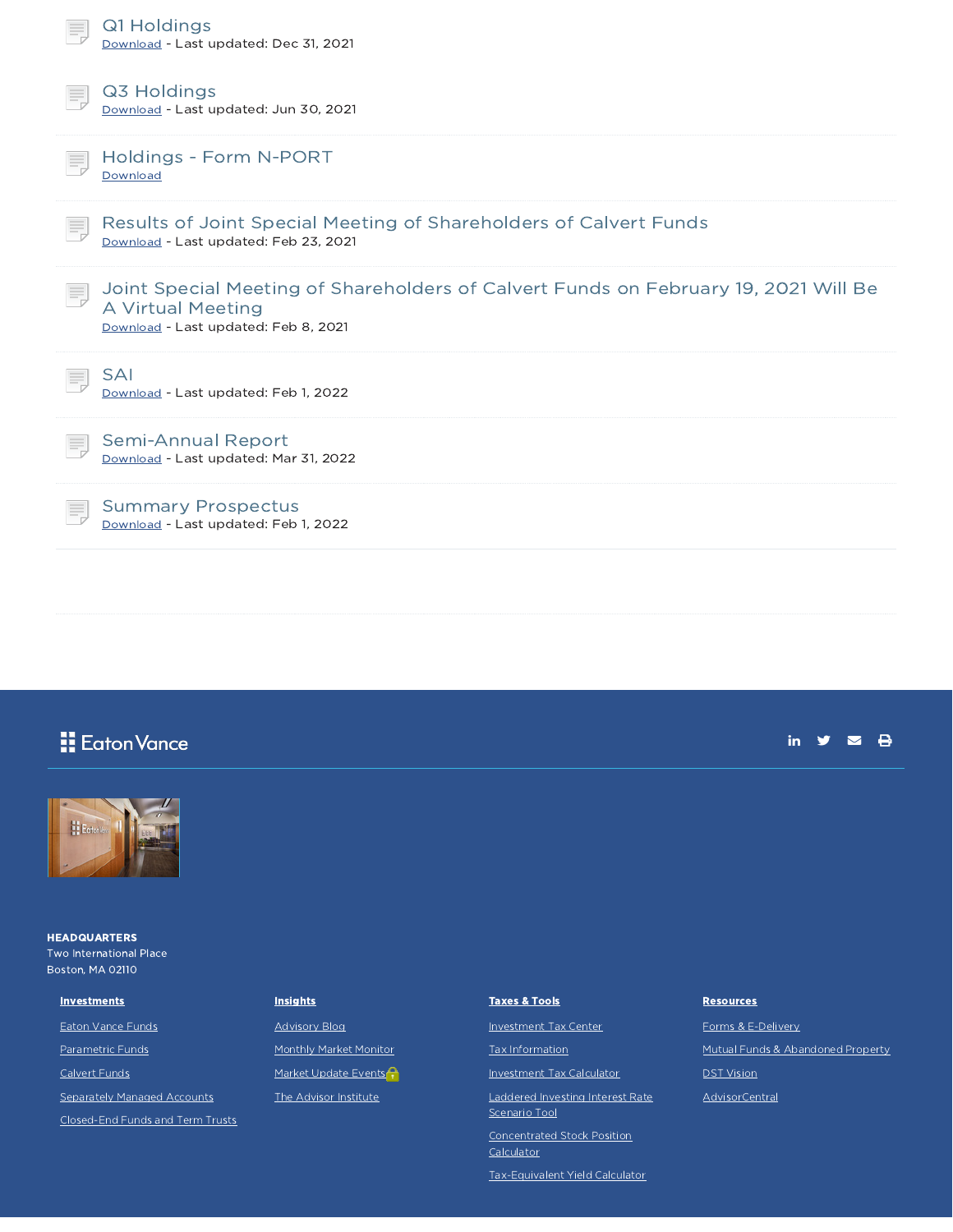| Q1 Holdings<br>Download - Last updated: Dec 31, 2021                                                                                             |
|--------------------------------------------------------------------------------------------------------------------------------------------------|
| Q3 Holdings<br>Download - Last updated: Jun 30, 2021                                                                                             |
| Holdings - Form N-PORT<br>Download                                                                                                               |
| Results of Joint Special Meeting of Shareholders of Calvert Funds<br>Download - Last updated: Feb 23, 2021                                       |
| Joint Special Meeting of Shareholders of Calvert Funds on February 19, 2021 Will Be<br>A Virtual Meeting<br>Download - Last updated: Feb 8, 2021 |
| SAI<br>Download - Last updated: Feb 1, 2022                                                                                                      |
| Semi-Annual Report<br>Download - Last updated: Mar 31, 2022                                                                                      |
| <b>Summary Prospectus</b><br>Download - Last updated: Feb 1, 2022                                                                                |

## **H** Eaton Vance

### in  $y = 8$



**HEADQUARTERS** Two International Place Boston, MA 02110

#### **Investments**

Eaton Vance Funds

Parametric Funds Calvert Funds

Separately Managed Accounts

Closed-End Funds and Term Trusts

### **Insights**

Advisory Blog Monthly Market Monitor Market Update Events<sup>2</sup> The Advisor Institute

#### Taxes & Tools

Investment Tax Center

Tax Information

Investment Tax Calculator

Laddered Investing Interest Rate Scenario Tool

Concentrated Stock Position Calculator

Tax-Equivalent Yield Calculator

#### **Resources**

Forms & E-Delivery Mutual Funds & Abandoned Property **DST Vision** AdvisorCentral